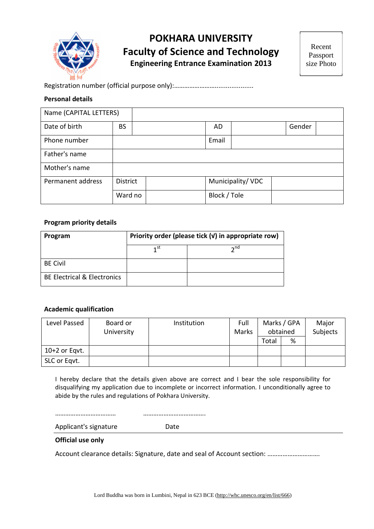

# **POKHARA UNIVERSITY Faculty of Science and Technology Engineering Entrance Examination 2013**

Recent Passport size Photo

### Registration number (official purpose only):…………………….....................

### **Personal details**

| Name (CAPITAL LETTERS) |                 |              |                  |        |  |
|------------------------|-----------------|--------------|------------------|--------|--|
| Date of birth          | <b>BS</b>       | AD           |                  | Gender |  |
| Phone number           |                 | Email        |                  |        |  |
| Father's name          |                 |              |                  |        |  |
| Mother's name          |                 |              |                  |        |  |
| Permanent address      | <b>District</b> |              | Municipality/VDC |        |  |
|                        | Ward no         | Block / Tole |                  |        |  |

### **Program priority details**

| Program                                | Priority order (please tick (v) in appropriate row) |                 |  |
|----------------------------------------|-----------------------------------------------------|-----------------|--|
|                                        | 1st                                                 | $\mathbf{a}$ nd |  |
| <b>BE Civil</b>                        |                                                     |                 |  |
| <b>BE Electrical &amp; Electronics</b> |                                                     |                 |  |

## **Academic qualification**

| Level Passed    | Board or   | Institution | Full  |       | Marks / GPA | Major    |
|-----------------|------------|-------------|-------|-------|-------------|----------|
|                 | University |             | Marks |       | obtained    | Subjects |
|                 |            |             |       | Total | %           |          |
| $10+2$ or Eqvt. |            |             |       |       |             |          |
| SLC or Eqvt.    |            |             |       |       |             |          |

I hereby declare that the details given above are correct and I bear the sole responsibility for disqualifying my application due to incomplete or incorrect information. I unconditionally agree to abide by the rules and regulations of Pokhara University.

……………………………… ……………………………….

Applicant's signature Date

#### **Official use only**

Account clearance details: Signature, date and seal of Account section: ………………………….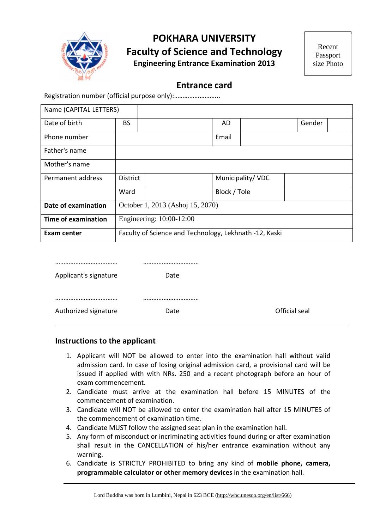

## **POKHARA UNIVERSITY Faculty of Science and Technology Engineering Entrance Examination 2013**

Recent Passport size Photo

## **Entrance card**

Registration number (official purpose only):……………………...

| Name (CAPITAL LETTERS)     |                                  |                                                        |              |                  |        |  |
|----------------------------|----------------------------------|--------------------------------------------------------|--------------|------------------|--------|--|
| Date of birth              | <b>BS</b>                        |                                                        | AD           |                  | Gender |  |
| Phone number               |                                  |                                                        | Email        |                  |        |  |
| Father's name              |                                  |                                                        |              |                  |        |  |
| Mother's name              |                                  |                                                        |              |                  |        |  |
| Permanent address          | <b>District</b>                  |                                                        |              | Municipality/VDC |        |  |
|                            | Ward                             |                                                        | Block / Tole |                  |        |  |
| Date of examination        | October 1, 2013 (Ashoj 15, 2070) |                                                        |              |                  |        |  |
| <b>Time of examination</b> |                                  | Engineering: 10:00-12:00                               |              |                  |        |  |
| Exam center                |                                  | Faculty of Science and Technology, Lekhnath -12, Kaski |              |                  |        |  |

| Applicant's signature | Date |               |
|-----------------------|------|---------------|
|                       |      |               |
|                       |      |               |
| Authorized signature  | Date | Official seal |

## **Instructions to the applicant**

- 1. Applicant will NOT be allowed to enter into the examination hall without valid admission card. In case of losing original admission card, a provisional card will be issued if applied with with NRs. 250 and a recent photograph before an hour of exam commencement.
- 2. Candidate must arrive at the examination hall before 15 MINUTES of the commencement of examination.
- 3. Candidate will NOT be allowed to enter the examination hall after 15 MINUTES of the commencement of examination time.
- 4. Candidate MUST follow the assigned seat plan in the examination hall.
- 5. Any form of misconduct or incriminating activities found during or after examination shall result in the CANCELLATION of his/her entrance examination without any warning.
- 6. Candidate is STRICTLY PROHIBITED to bring any kind of **mobile phone, camera, programmable calculator or other memory devices** in the examination hall.